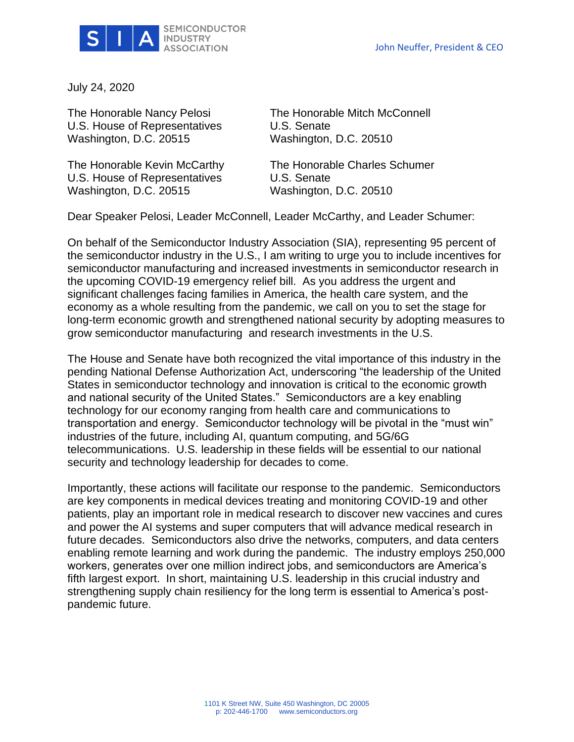

July 24, 2020

U.S. House of Representatives U.S. Senate Washington, D.C. 20515 Washington, D.C. 20510

U.S. House of Representatives U.S. Senate Washington, D.C. 20515 Washington, D.C. 20510

The Honorable Nancy Pelosi The Honorable Mitch McConnell

The Honorable Kevin McCarthy The Honorable Charles Schumer

Dear Speaker Pelosi, Leader McConnell, Leader McCarthy, and Leader Schumer:

On behalf of the Semiconductor Industry Association (SIA), representing 95 percent of the semiconductor industry in the U.S., I am writing to urge you to include incentives for semiconductor manufacturing and increased investments in semiconductor research in the upcoming COVID-19 emergency relief bill. As you address the urgent and significant challenges facing families in America, the health care system, and the economy as a whole resulting from the pandemic, we call on you to set the stage for long-term economic growth and strengthened national security by adopting measures to grow semiconductor manufacturing and research investments in the U.S.

The House and Senate have both recognized the vital importance of this industry in the pending National Defense Authorization Act, underscoring "the leadership of the United States in semiconductor technology and innovation is critical to the economic growth and national security of the United States." Semiconductors are a key enabling technology for our economy ranging from health care and communications to transportation and energy. Semiconductor technology will be pivotal in the "must win" industries of the future, including AI, quantum computing, and 5G/6G telecommunications. U.S. leadership in these fields will be essential to our national security and technology leadership for decades to come.

Importantly, these actions will facilitate our response to the pandemic. Semiconductors are key components in medical devices treating and monitoring COVID-19 and other patients, play an important role in medical research to discover new vaccines and cures and power the AI systems and super computers that will advance medical research in future decades. Semiconductors also drive the networks, computers, and data centers enabling remote learning and work during the pandemic. The industry employs 250,000 workers, generates over one million indirect jobs, and semiconductors are America's fifth largest export. In short, maintaining U.S. leadership in this crucial industry and strengthening supply chain resiliency for the long term is essential to America's postpandemic future.